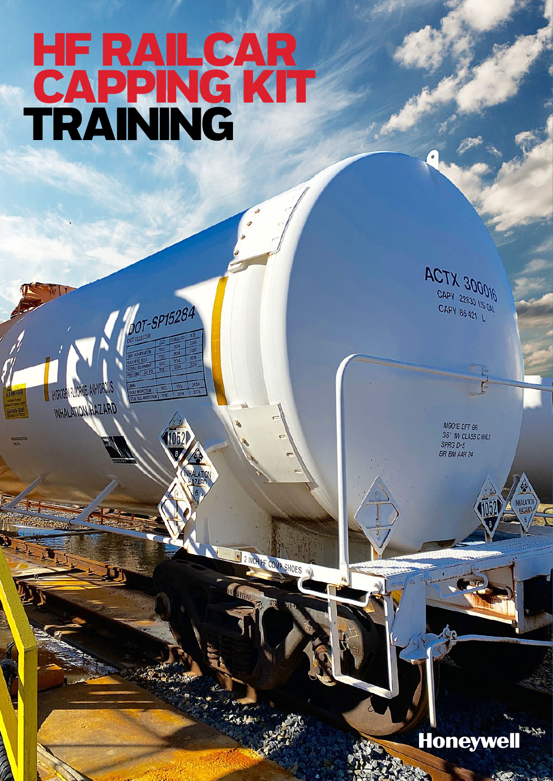## HF RAILCAR CAPPING KIT TRAINING

DOT-SP15284

E 2 INCH HF COMP SHOES

 $\hat{q}$ 

INHALATION HAZARD

**ACTX 300016** CAPY 22830 US GAL<br>CAPY 86.00 US GAL CAPY 86 421

> M901E DFT GR 36" IW CLASS C WHIS SPRG D-5 BR BM AAR 24

Honeywell